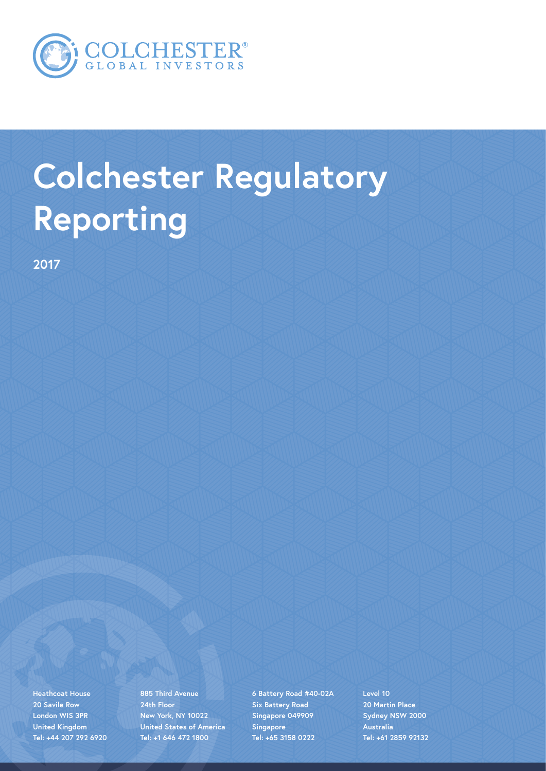

# **Colchester Regulatory Reporting**

**2017**

**Heathcoat House 20 Savile Row London WIS 3PR United Kingdom Tel: +44 207 292 6920**

**885 Third Avenue 24th Floor New York, NY 10022 United States of America Tel: +1 646 472 1800**

**6 Battery Road #40-02A Six Battery Road Singapore 049909 Singapore Tel: +65 3158 0222**

**Level 10 20 Martin Place Sydney NSW 2000 Australia Tel: +61 2859 92132**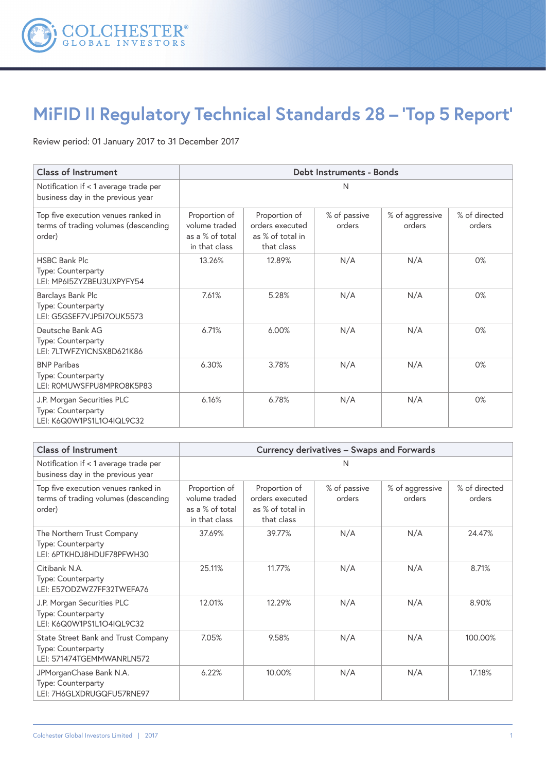

# **MiFID II Regulatory Technical Standards 28 – 'Top 5 Report'**

Review period: 01 January 2017 to 31 December 2017

| <b>Class of Instrument</b>                                                            | Debt Instruments - Bonds                                           |                                                                    |                        |                           |                         |
|---------------------------------------------------------------------------------------|--------------------------------------------------------------------|--------------------------------------------------------------------|------------------------|---------------------------|-------------------------|
| Notification if < 1 average trade per<br>business day in the previous year            | N                                                                  |                                                                    |                        |                           |                         |
| Top five execution venues ranked in<br>terms of trading volumes (descending<br>order) | Proportion of<br>volume traded<br>as a % of total<br>in that class | Proportion of<br>orders executed<br>as % of total in<br>that class | % of passive<br>orders | % of aggressive<br>orders | % of directed<br>orders |
| <b>HSBC Bank Plc</b><br>Type: Counterparty<br>LEI: MP6I5ZYZBEU3UXPYFY54               | 13.26%                                                             | 12.89%                                                             | N/A                    | N/A                       | 0%                      |
| Barclays Bank Plc<br>Type: Counterparty<br>LEI: G5GSEF7VJP5I7OUK5573                  | 7.61%                                                              | 5.28%                                                              | N/A                    | N/A                       | 0%                      |
| Deutsche Bank AG<br>Type: Counterparty<br>LEI: 7LTWFZYICNSX8D621K86                   | 6.71%                                                              | 6.00%                                                              | N/A                    | N/A                       | 0%                      |
| <b>BNP Paribas</b><br>Type: Counterparty<br>LEI: ROMUWSFPU8MPRO8K5P83                 | 6.30%                                                              | 3.78%                                                              | N/A                    | N/A                       | 0%                      |
| J.P. Morgan Securities PLC<br>Type: Counterparty<br>LEI: K6Q0W1PS1L1O4IQL9C32         | 6.16%                                                              | 6.78%                                                              | N/A                    | N/A                       | 0%                      |

| <b>Class of Instrument</b>                                                             | Currency derivatives - Swaps and Forwards                          |                                                                    |                        |                           |                         |
|----------------------------------------------------------------------------------------|--------------------------------------------------------------------|--------------------------------------------------------------------|------------------------|---------------------------|-------------------------|
| Notification if < 1 average trade per<br>business day in the previous year             |                                                                    |                                                                    | N                      |                           |                         |
| Top five execution venues ranked in<br>terms of trading volumes (descending<br>order)  | Proportion of<br>volume traded<br>as a % of total<br>in that class | Proportion of<br>orders executed<br>as % of total in<br>that class | % of passive<br>orders | % of aggressive<br>orders | % of directed<br>orders |
| The Northern Trust Company<br>Type: Counterparty<br>LEI: 6PTKHDJ8HDUF78PFWH30          | 37.69%                                                             | 39.77%                                                             | N/A                    | N/A                       | 24.47%                  |
| Citibank N.A.<br>Type: Counterparty<br>LEI: E57ODZWZ7FF32TWEFA76                       | 25.11%                                                             | 11.77%                                                             | N/A                    | N/A                       | 8.71%                   |
| J.P. Morgan Securities PLC<br>Type: Counterparty<br>LEI: K6Q0W1PS1L1O4IQL9C32          | 12.01%                                                             | 12.29%                                                             | N/A                    | N/A                       | 8.90%                   |
| State Street Bank and Trust Company<br>Type: Counterparty<br>LEI: 571474TGEMMWANRLN572 | 7.05%                                                              | 9.58%                                                              | N/A                    | N/A                       | 100.00%                 |
| JPMorganChase Bank N.A.<br>Type: Counterparty<br>LEI: 7H6GLXDRUGQFU57RNE97             | 6.22%                                                              | 10.00%                                                             | N/A                    | N/A                       | 17.18%                  |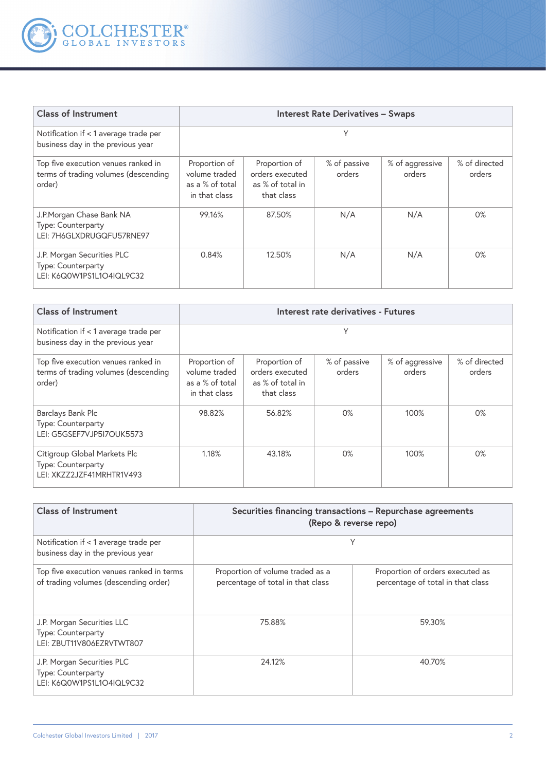

| <b>Class of Instrument</b>                                                            | <b>Interest Rate Derivatives - Swaps</b>                           |                                                                    |                        |                           |                         |
|---------------------------------------------------------------------------------------|--------------------------------------------------------------------|--------------------------------------------------------------------|------------------------|---------------------------|-------------------------|
| Notification if < 1 average trade per<br>business day in the previous year            |                                                                    |                                                                    | γ                      |                           |                         |
| Top five execution venues ranked in<br>terms of trading volumes (descending<br>order) | Proportion of<br>volume traded<br>as a % of total<br>in that class | Proportion of<br>orders executed<br>as % of total in<br>that class | % of passive<br>orders | % of aggressive<br>orders | % of directed<br>orders |
| J.P.Morgan Chase Bank NA<br>Type: Counterparty<br>LEI: 7H6GLXDRUGQFU57RNE97           | 99.16%                                                             | 87.50%                                                             | N/A                    | N/A                       | 0%                      |
| J.P. Morgan Securities PLC<br>Type: Counterparty<br>LEI: K6Q0W1PS1L1O4IQL9C32         | 0.84%                                                              | 12.50%                                                             | N/A                    | N/A                       | 0%                      |

| <b>Class of Instrument</b>                                                            | Interest rate derivatives - Futures                                |                                                                    |                        |                           |                         |
|---------------------------------------------------------------------------------------|--------------------------------------------------------------------|--------------------------------------------------------------------|------------------------|---------------------------|-------------------------|
| Notification if < 1 average trade per<br>business day in the previous year            |                                                                    |                                                                    | Υ                      |                           |                         |
| Top five execution venues ranked in<br>terms of trading volumes (descending<br>order) | Proportion of<br>volume traded<br>as a % of total<br>in that class | Proportion of<br>orders executed<br>as % of total in<br>that class | % of passive<br>orders | % of aggressive<br>orders | % of directed<br>orders |
| Barclays Bank Plc<br>Type: Counterparty<br>LEI: G5GSEF7VJP5I7OUK5573                  | 98.82%                                                             | 56.82%                                                             | 0%                     | 100%                      | 0%                      |
| Citigroup Global Markets Plc<br>Type: Counterparty<br>LEI: XKZZ2JZF41MRHTR1V493       | 1.18%                                                              | 43.18%                                                             | 0%                     | 100%                      | $0\%$                   |

| <b>Class of Instrument</b>                                                         | Securities financing transactions - Repurchase agreements<br>(Repo & reverse repo) |                                                                       |  |  |
|------------------------------------------------------------------------------------|------------------------------------------------------------------------------------|-----------------------------------------------------------------------|--|--|
| Notification if < 1 average trade per<br>business day in the previous year         | Υ                                                                                  |                                                                       |  |  |
| Top five execution venues ranked in terms<br>of trading volumes (descending order) | Proportion of volume traded as a<br>percentage of total in that class              | Proportion of orders executed as<br>percentage of total in that class |  |  |
| J.P. Morgan Securities LLC<br>Type: Counterparty<br>LEI: ZBUT11V806EZRVTWT807      | 75.88%                                                                             | 59.30%                                                                |  |  |
| J.P. Morgan Securities PLC<br>Type: Counterparty<br>LEI: K6Q0W1PS1L1O4IQL9C32      | 24.12%                                                                             | 40.70%                                                                |  |  |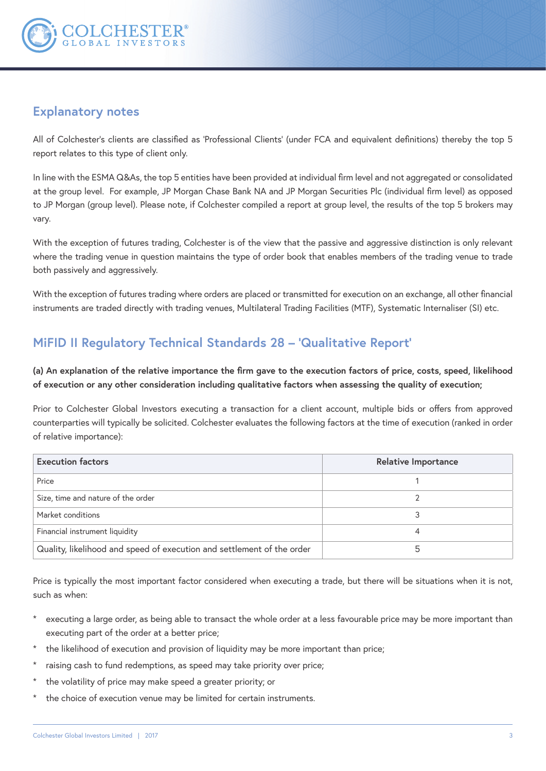

### **Explanatory notes**

All of Colchester's clients are classified as 'Professional Clients' (under FCA and equivalent definitions) thereby the top 5 report relates to this type of client only.

In line with the ESMA Q&As, the top 5 entities have been provided at individual firm level and not aggregated or consolidated at the group level. For example, JP Morgan Chase Bank NA and JP Morgan Securities Plc (individual firm level) as opposed to JP Morgan (group level). Please note, if Colchester compiled a report at group level, the results of the top 5 brokers may vary.

With the exception of futures trading, Colchester is of the view that the passive and aggressive distinction is only relevant where the trading venue in question maintains the type of order book that enables members of the trading venue to trade both passively and aggressively.

With the exception of futures trading where orders are placed or transmitted for execution on an exchange, all other financial instruments are traded directly with trading venues, Multilateral Trading Facilities (MTF), Systematic Internaliser (SI) etc.

## **MiFID II Regulatory Technical Standards 28 – 'Qualitative Report'**

**(a) An explanation of the relative importance the firm gave to the execution factors of price, costs, speed, likelihood of execution or any other consideration including qualitative factors when assessing the quality of execution;**

Prior to Colchester Global Investors executing a transaction for a client account, multiple bids or offers from approved counterparties will typically be solicited. Colchester evaluates the following factors at the time of execution (ranked in order of relative importance):

| <b>Execution factors</b>                                               | <b>Relative Importance</b> |
|------------------------------------------------------------------------|----------------------------|
| Price                                                                  |                            |
| Size, time and nature of the order                                     |                            |
| Market conditions                                                      |                            |
| Financial instrument liquidity                                         |                            |
| Quality, likelihood and speed of execution and settlement of the order | 5                          |

Price is typically the most important factor considered when executing a trade, but there will be situations when it is not, such as when:

- executing a large order, as being able to transact the whole order at a less favourable price may be more important than executing part of the order at a better price;
- the likelihood of execution and provision of liquidity may be more important than price;
- raising cash to fund redemptions, as speed may take priority over price;
- the volatility of price may make speed a greater priority; or
- the choice of execution venue may be limited for certain instruments.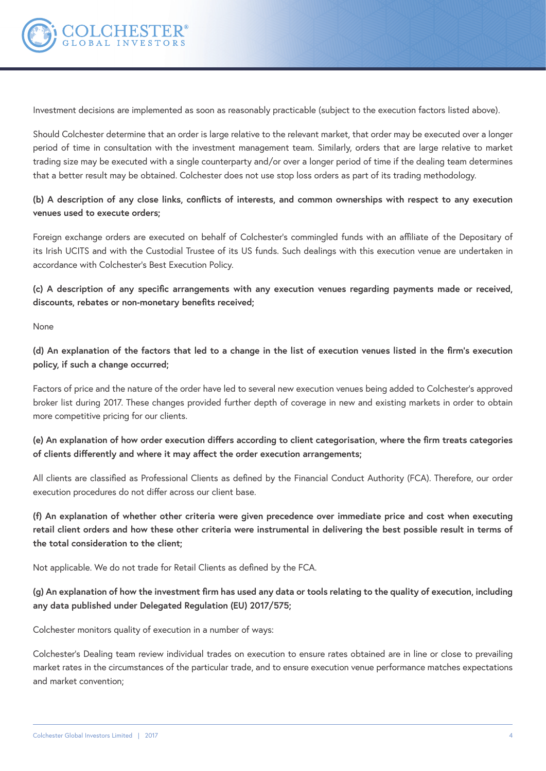

Investment decisions are implemented as soon as reasonably practicable (subject to the execution factors listed above).

Should Colchester determine that an order is large relative to the relevant market, that order may be executed over a longer period of time in consultation with the investment management team. Similarly, orders that are large relative to market trading size may be executed with a single counterparty and/or over a longer period of time if the dealing team determines that a better result may be obtained. Colchester does not use stop loss orders as part of its trading methodology.

#### **(b) A description of any close links, conflicts of interests, and common ownerships with respect to any execution venues used to execute orders;**

Foreign exchange orders are executed on behalf of Colchester's commingled funds with an affiliate of the Depositary of its Irish UCITS and with the Custodial Trustee of its US funds. Such dealings with this execution venue are undertaken in accordance with Colchester's Best Execution Policy.

**(c) A description of any specific arrangements with any execution venues regarding payments made or received, discounts, rebates or non-monetary benefits received;** 

None

**(d) An explanation of the factors that led to a change in the list of execution venues listed in the firm's execution policy, if such a change occurred;** 

Factors of price and the nature of the order have led to several new execution venues being added to Colchester's approved broker list during 2017. These changes provided further depth of coverage in new and existing markets in order to obtain more competitive pricing for our clients.

**(e) An explanation of how order execution differs according to client categorisation, where the firm treats categories of clients differently and where it may affect the order execution arrangements;** 

All clients are classified as Professional Clients as defined by the Financial Conduct Authority (FCA). Therefore, our order execution procedures do not differ across our client base.

**(f) An explanation of whether other criteria were given precedence over immediate price and cost when executing retail client orders and how these other criteria were instrumental in delivering the best possible result in terms of the total consideration to the client;** 

Not applicable. We do not trade for Retail Clients as defined by the FCA.

**(g) An explanation of how the investment firm has used any data or tools relating to the quality of execution, including any data published under Delegated Regulation (EU) 2017/575;** 

Colchester monitors quality of execution in a number of ways:

Colchester's Dealing team review individual trades on execution to ensure rates obtained are in line or close to prevailing market rates in the circumstances of the particular trade, and to ensure execution venue performance matches expectations and market convention;